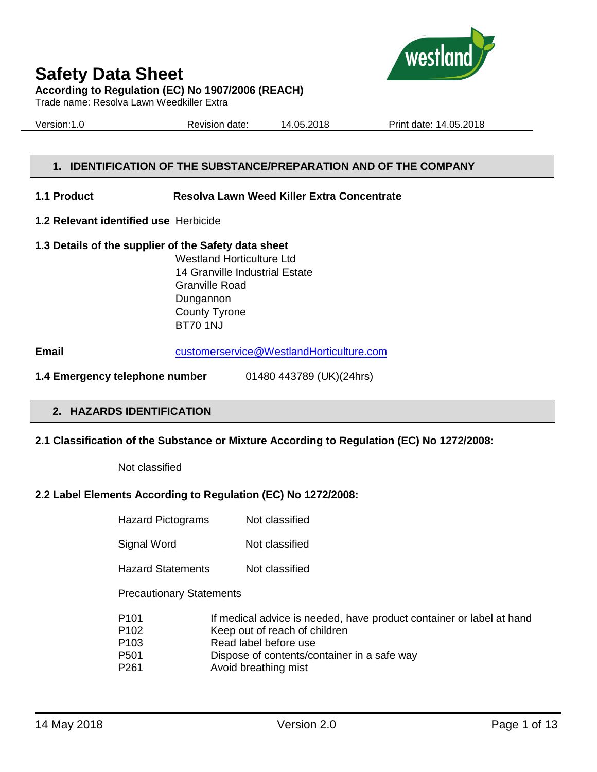

Trade name: Resolva Lawn Weedkiller Extra

Version:1.0 Revision date: 14.05.2018 Print date: 14.05.2018

west

# **1. IDENTIFICATION OF THE SUBSTANCE/PREPARATION AND OF THE COMPANY**

#### **1.1 Product Resolva Lawn Weed Killer Extra Concentrate**

**1.2 Relevant identified use** Herbicide

#### **1.3 Details of the supplier of the Safety data sheet**

Westland Horticulture Ltd 14 Granville Industrial Estate Granville Road Dungannon County Tyrone BT70 1NJ

**Email** [customerservice@WestlandHorticulture.com](mailto:customerservice@WestlandHorticulture.com)

**1.4 Emergency telephone number** 01480 443789 (UK)(24hrs)

# **2. HAZARDS IDENTIFICATION**

#### **2.1 Classification of the Substance or Mixture According to Regulation (EC) No 1272/2008:**

Not classified

#### **2.2 Label Elements According to Regulation (EC) No 1272/2008:**

| <b>Hazard Pictograms</b>        | Not classified                                                                                                     |
|---------------------------------|--------------------------------------------------------------------------------------------------------------------|
| Signal Word                     | Not classified                                                                                                     |
| <b>Hazard Statements</b>        | Not classified                                                                                                     |
| <b>Precautionary Statements</b> |                                                                                                                    |
| P101<br><b>D</b> 100            | If medical advice is needed, have product container or label at hand<br>17 - an construction and a construction of |

- P102 Keep out of reach of children
- P103 Read label before use
- P501 Dispose of contents/container in a safe way
- P261 Avoid breathing mist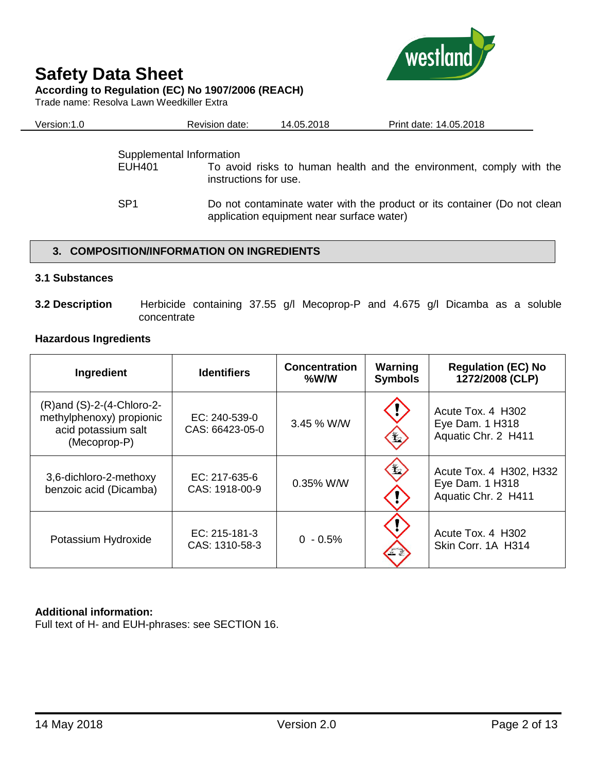

#### **According to Regulation (EC) No 1907/2006 (REACH)**

Trade name: Resolva Lawn Weedkiller Extra

| Version:1.0 | Revision date:                                    | 14.05.2018 | Print date: 14.05.2018                                              |  |
|-------------|---------------------------------------------------|------------|---------------------------------------------------------------------|--|
| EUH401      | Supplemental Information<br>instructions for use. |            | To avoid risks to human health and the environment, comply with the |  |

SP1 Do not contaminate water with the product or its container (Do not clean application equipment near surface water)

# **3. COMPOSITION/INFORMATION ON INGREDIENTS**

#### **3.1 Substances**

**3.2 Description** Herbicide containing 37.55 g/l Mecoprop-P and 4.675 g/l Dicamba as a soluble concentrate

# **Hazardous Ingredients**

| Ingredient                                                                                        | <b>Identifiers</b>                 | <b>Concentration</b><br>$%$ W/W | Warning<br><b>Symbols</b> | <b>Regulation (EC) No</b><br>1272/2008 (CLP)                      |
|---------------------------------------------------------------------------------------------------|------------------------------------|---------------------------------|---------------------------|-------------------------------------------------------------------|
| $(R)$ and $(S)-2-(4-Chloro-2-$<br>methylphenoxy) propionic<br>acid potassium salt<br>(Mecoprop-P) | $EC: 240-539-0$<br>CAS: 66423-05-0 | 3.45 % W/W                      | Ł                         | Acute Tox. 4 H302<br>Eye Dam. 1 H318<br>Aquatic Chr. 2 H411       |
| 3,6-dichloro-2-methoxy<br>benzoic acid (Dicamba)                                                  | $EC: 217-635-6$<br>CAS: 1918-00-9  | 0.35% W/W                       | $\mathbf{H}$              | Acute Tox. 4 H302, H332<br>Eye Dam. 1 H318<br>Aquatic Chr. 2 H411 |
| Potassium Hydroxide                                                                               | $EC: 215-181-3$<br>CAS: 1310-58-3  | $0 - 0.5%$                      |                           | Acute Tox. 4 H302<br>Skin Corr. 1A H314                           |

# **Additional information:**

Full text of H- and EUH-phrases: see SECTION 16.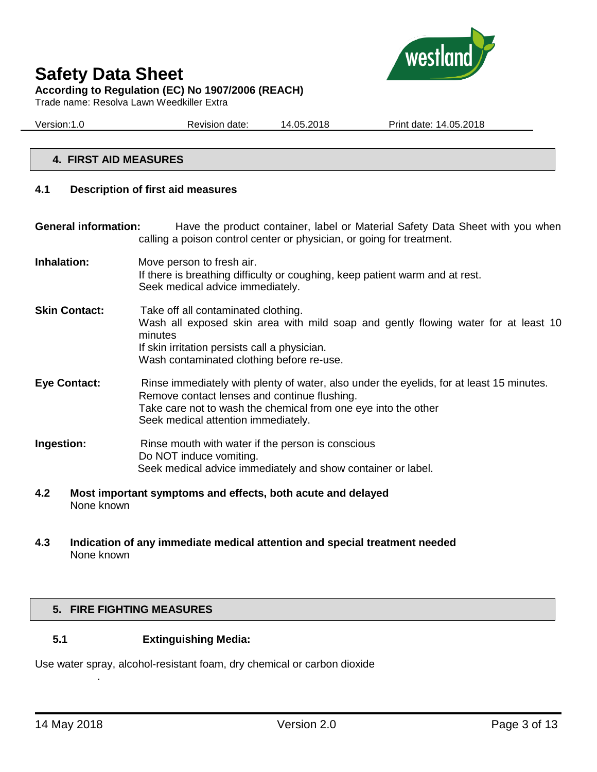

# **Safety Data Sheet According to Regulation (EC) No 1907/2006 (REACH)**

Trade name: Resolva Lawn Weedkiller Extra

Version:1.0 Revision date: 14.05.2018 Print date: 14.05.2018

# **4. FIRST AID MEASURES**

### **4.1 Description of first aid measures**

**General information:** Have the product container, label or Material Safety Data Sheet with you when calling a poison control center or physician, or going for treatment.

- **Inhalation:** Move person to fresh air. If there is breathing difficulty or coughing, keep patient warm and at rest. Seek medical advice immediately.
- **Skin Contact:** Take off all contaminated clothing. Wash all exposed skin area with mild soap and gently flowing water for at least 10 minutes If skin irritation persists call a physician. Wash contaminated clothing before re-use.
- **Eye Contact:** Rinse immediately with plenty of water, also under the eyelids, for at least 15 minutes. Remove contact lenses and continue flushing. Take care not to wash the chemical from one eye into the other Seek medical attention immediately.
- **Ingestion:** Rinse mouth with water if the person is conscious Do NOT induce vomiting. Seek medical advice immediately and show container or label.
- **4.2 Most important symptoms and effects, both acute and delayed** None known
- **4.3 Indication of any immediate medical attention and special treatment needed** None known

# **5. FIRE FIGHTING MEASURES**

# **5.1 Extinguishing Media:**

Use water spray, alcohol-resistant foam, dry chemical or carbon dioxide

.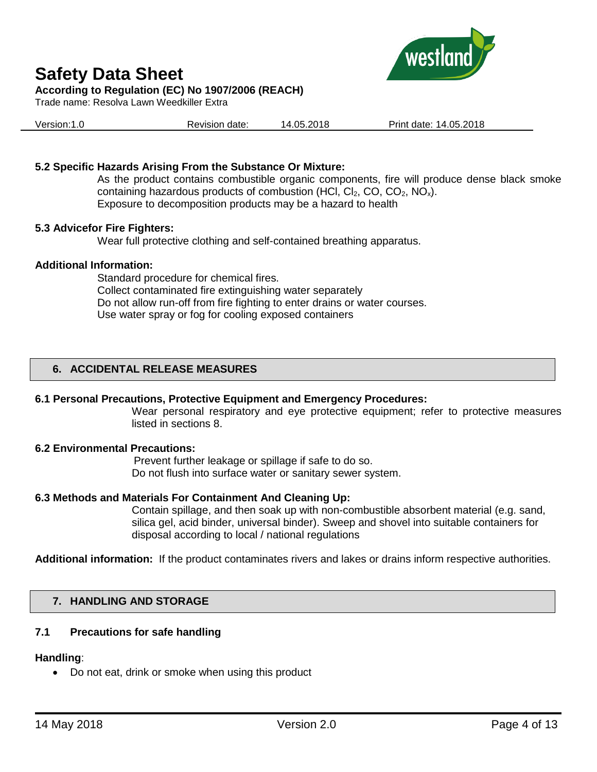

Trade name: Resolva Lawn Weedkiller Extra



Version:1.0 Revision date: 14.05.2018 Print date: 14.05.2018

# **5.2 Specific Hazards Arising From the Substance Or Mixture:**

As the product contains combustible organic components, fire will produce dense black smoke containing hazardous products of combustion (HCl,  $Cl_2$ , CO,  $CO_2$ , NO<sub>x</sub>). Exposure to decomposition products may be a hazard to health

#### **5.3 Advicefor Fire Fighters:**

Wear full protective clothing and self-contained breathing apparatus.

#### **Additional Information:**

Standard procedure for chemical fires. Collect contaminated fire extinguishing water separately Do not allow run-off from fire fighting to enter drains or water courses. Use water spray or fog for cooling exposed containers

# **6. ACCIDENTAL RELEASE MEASURES**

# **6.1 Personal Precautions, Protective Equipment and Emergency Procedures:**

Wear personal respiratory and eye protective equipment; refer to protective measures listed in sections 8.

#### **6.2 Environmental Precautions:**

Prevent further leakage or spillage if safe to do so. Do not flush into surface water or sanitary sewer system.

# **6.3 Methods and Materials For Containment And Cleaning Up:**

Contain spillage, and then soak up with non-combustible absorbent material (e.g. sand, silica gel, acid binder, universal binder). Sweep and shovel into suitable containers for disposal according to local / national regulations

**Additional information:** If the product contaminates rivers and lakes or drains inform respective authorities.

# **7. HANDLING AND STORAGE**

# **7.1 Precautions for safe handling**

#### **Handling**:

• Do not eat, drink or smoke when using this product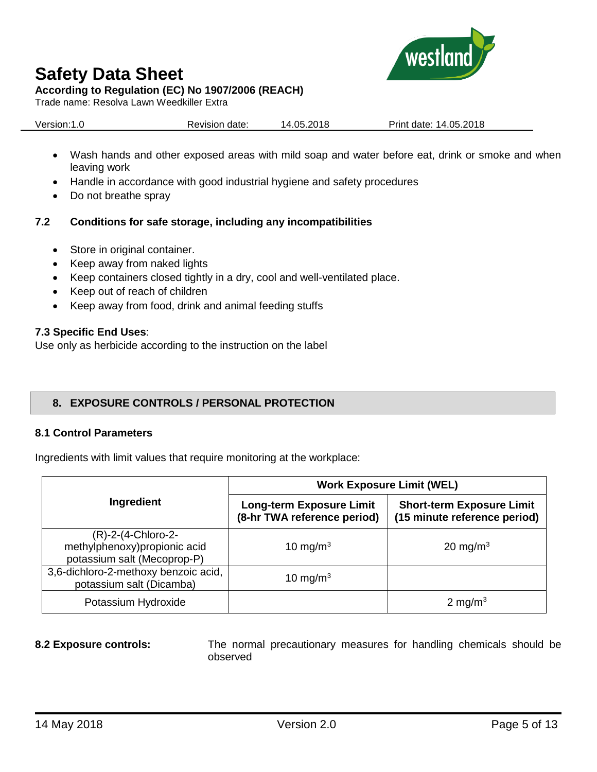

### **According to Regulation (EC) No 1907/2006 (REACH)**

Trade name: Resolva Lawn Weedkiller Extra

| Version:1.0<br>Revision date: | 14.05.2018 | Print date: 14.05.2018 |
|-------------------------------|------------|------------------------|
|-------------------------------|------------|------------------------|

- Wash hands and other exposed areas with mild soap and water before eat, drink or smoke and when leaving work
- Handle in accordance with good industrial hygiene and safety procedures
- Do not breathe spray

# **7.2 Conditions for safe storage, including any incompatibilities**

- Store in original container.
- Keep away from naked lights
- Keep containers closed tightly in a dry, cool and well-ventilated place.
- Keep out of reach of children
- Keep away from food, drink and animal feeding stuffs

# **7.3 Specific End Uses**:

Use only as herbicide according to the instruction on the label

# **8. EXPOSURE CONTROLS / PERSONAL PROTECTION**

# **8.1 Control Parameters**

Ingredients with limit values that require monitoring at the workplace:

|                                                                                     | <b>Work Exposure Limit (WEL)</b>                               |                                                                  |  |  |
|-------------------------------------------------------------------------------------|----------------------------------------------------------------|------------------------------------------------------------------|--|--|
| Ingredient                                                                          | <b>Long-term Exposure Limit</b><br>(8-hr TWA reference period) | <b>Short-term Exposure Limit</b><br>(15 minute reference period) |  |  |
| $(R)-2-(4-Chloro-2-$<br>methylphenoxy)propionic acid<br>potassium salt (Mecoprop-P) | 10 mg/m <sup>3</sup>                                           | 20 mg/m $3$                                                      |  |  |
| 3,6-dichloro-2-methoxy benzoic acid,<br>potassium salt (Dicamba)                    | 10 mg/m <sup>3</sup>                                           |                                                                  |  |  |
| Potassium Hydroxide                                                                 |                                                                | 2 mg/m <sup>3</sup>                                              |  |  |

**8.2 Exposure controls:** The normal precautionary measures for handling chemicals should be observed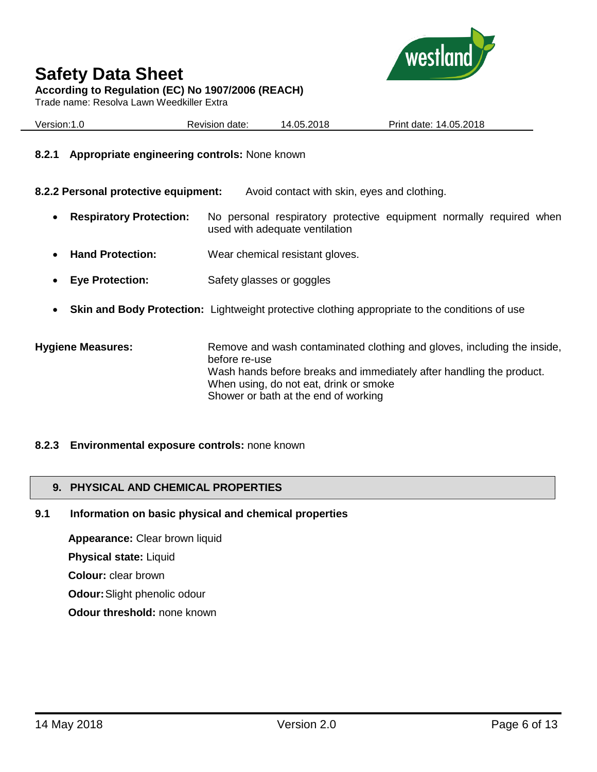



Trade name: Resolva Lawn Weedkiller Extra



| Version:1.0 | Revision date: | 14.05.2018 | Print date: 14.05.2018 |
|-------------|----------------|------------|------------------------|
|             |                |            |                        |

#### **8.2.1 Appropriate engineering controls:** None known

**8.2.2 Personal protective equipment:** Avoid contact with skin, eyes and clothing.

- **Respiratory Protection:** No personal respiratory protective equipment normally required when used with adequate ventilation
- **Hand Protection:** Wear chemical resistant gloves.
- **Eye Protection:** Safety glasses or goggles
- **Skin and Body Protection:** Lightweight protective clothing appropriate to the conditions of use

**Hygiene Measures:** Remove and wash contaminated clothing and gloves, including the inside, before re-use Wash hands before breaks and immediately after handling the product. When using, do not eat, drink or smoke Shower or bath at the end of working

#### **8.2.3 Environmental exposure controls:** none known

#### **9. PHYSICAL AND CHEMICAL PROPERTIES**

#### **9.1 Information on basic physical and chemical properties**

**Appearance:** Clear brown liquid **Physical state:** Liquid **Colour:** clear brown **Odour:**Slight phenolic odour

**Odour threshold:** none known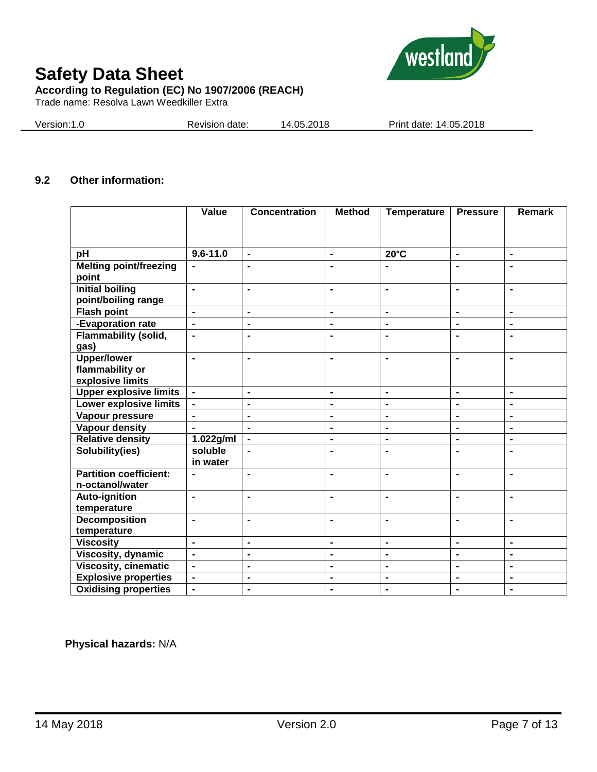

#### **According to Regulation (EC) No 1907/2006 (REACH)**

Trade name: Resolva Lawn Weedkiller Extra

Version:1.0 Revision date: 14.05.2018 Print date: 14.05.2018

# **9.2 Other information:**

|                               | Value          | <b>Concentration</b> | <b>Method</b>  | <b>Temperature</b> | <b>Pressure</b> | Remark         |
|-------------------------------|----------------|----------------------|----------------|--------------------|-----------------|----------------|
|                               |                |                      |                |                    |                 |                |
|                               |                |                      |                |                    |                 |                |
| pH                            | $9.6 - 11.0$   | $\blacksquare$       | $\blacksquare$ | $20^{\circ}$ C     | $\blacksquare$  | $\blacksquare$ |
| <b>Melting point/freezing</b> | $\blacksquare$ |                      | $\blacksquare$ |                    | $\blacksquare$  | $\blacksquare$ |
| point                         |                |                      |                |                    |                 |                |
| <b>Initial boiling</b>        | $\blacksquare$ | $\blacksquare$       | $\blacksquare$ | $\blacksquare$     | $\blacksquare$  | $\blacksquare$ |
| point/boiling range           |                |                      |                |                    |                 |                |
| <b>Flash point</b>            | $\blacksquare$ | $\blacksquare$       | $\blacksquare$ | $\blacksquare$     | $\blacksquare$  | $\blacksquare$ |
| -Evaporation rate             | $\blacksquare$ | $\blacksquare$       | $\blacksquare$ | $\blacksquare$     | $\blacksquare$  | $\blacksquare$ |
| <b>Flammability (solid,</b>   | $\blacksquare$ | $\blacksquare$       | $\blacksquare$ | $\blacksquare$     | $\blacksquare$  | $\blacksquare$ |
| gas)                          |                |                      |                |                    |                 |                |
| <b>Upper/lower</b>            | $\blacksquare$ | $\blacksquare$       | $\blacksquare$ | $\blacksquare$     | $\blacksquare$  | $\blacksquare$ |
| flammability or               |                |                      |                |                    |                 |                |
| explosive limits              |                |                      |                |                    |                 |                |
| <b>Upper explosive limits</b> | $\blacksquare$ | $\blacksquare$       | $\blacksquare$ | $\blacksquare$     | $\blacksquare$  | $\blacksquare$ |
| <b>Lower explosive limits</b> | $\blacksquare$ | $\blacksquare$       | $\blacksquare$ | $\blacksquare$     | $\blacksquare$  | $\blacksquare$ |
| Vapour pressure               | $\blacksquare$ | $\blacksquare$       | $\blacksquare$ | $\blacksquare$     | $\blacksquare$  | $\blacksquare$ |
| <b>Vapour density</b>         | $\blacksquare$ | $\blacksquare$       | $\blacksquare$ | $\blacksquare$     | $\blacksquare$  | $\blacksquare$ |
| <b>Relative density</b>       | 1.022g/ml      | $\blacksquare$       | $\blacksquare$ | $\blacksquare$     | $\blacksquare$  | $\blacksquare$ |
| Solubility(ies)               | soluble        | $\blacksquare$       | $\blacksquare$ | $\blacksquare$     | $\blacksquare$  | $\blacksquare$ |
|                               | in water       |                      |                |                    |                 |                |
| <b>Partition coefficient:</b> |                | $\blacksquare$       | $\blacksquare$ | $\blacksquare$     | $\blacksquare$  | $\blacksquare$ |
| n-octanol/water               |                |                      |                |                    |                 |                |
| <b>Auto-ignition</b>          | $\blacksquare$ | $\blacksquare$       | $\blacksquare$ | $\blacksquare$     | $\blacksquare$  | $\blacksquare$ |
| temperature                   |                |                      |                |                    |                 |                |
| <b>Decomposition</b>          | $\blacksquare$ | $\blacksquare$       | $\blacksquare$ | $\blacksquare$     | $\blacksquare$  | $\blacksquare$ |
| temperature                   |                |                      |                |                    |                 |                |
| <b>Viscosity</b>              | $\blacksquare$ | $\blacksquare$       | $\blacksquare$ | $\blacksquare$     | $\blacksquare$  | $\blacksquare$ |
| Viscosity, dynamic            | $\blacksquare$ | $\blacksquare$       | $\blacksquare$ | $\blacksquare$     | $\blacksquare$  | $\blacksquare$ |
| <b>Viscosity, cinematic</b>   | $\blacksquare$ | $\blacksquare$       | $\blacksquare$ | $\blacksquare$     | $\blacksquare$  | $\blacksquare$ |
| <b>Explosive properties</b>   | $\blacksquare$ | $\blacksquare$       | $\blacksquare$ | $\blacksquare$     | $\blacksquare$  | $\blacksquare$ |
| <b>Oxidising properties</b>   | $\blacksquare$ | $\blacksquare$       | $\blacksquare$ | $\blacksquare$     | $\blacksquare$  | $\blacksquare$ |

 **Physical hazards:** N/A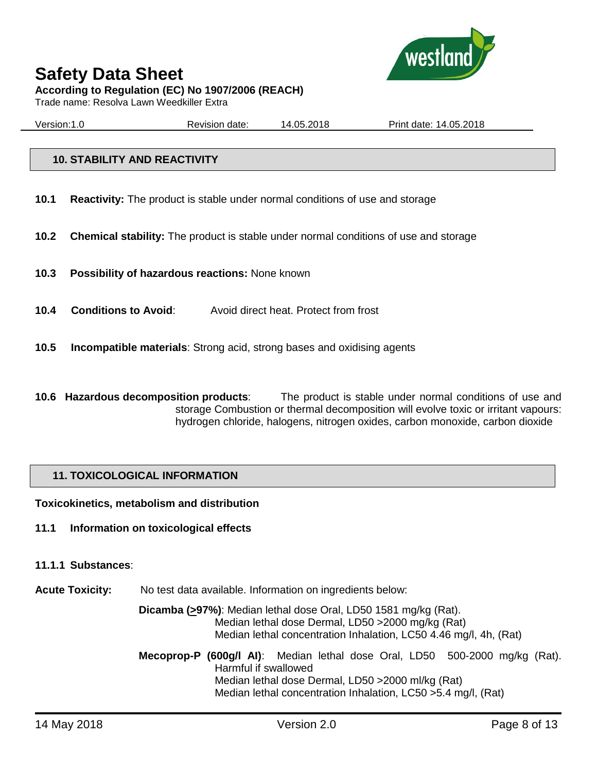

# **Safety Data Sheet According to Regulation (EC) No 1907/2006 (REACH)**

Trade name: Resolva Lawn Weedkiller Extra

Version:1.0 Revision date: 14.05.2018 Print date: 14.05.2018

# **10. STABILITY AND REACTIVITY**

- **10.1 Reactivity:** The product is stable under normal conditions of use and storage
- **10.2 Chemical stability:** The product is stable under normal conditions of use and storage
- **10.3 Possibility of hazardous reactions:** None known
- **10.4 Conditions to Avoid**: Avoid direct heat. Protect from frost
- **10.5 Incompatible materials**: Strong acid, strong bases and oxidising agents
- **10.6 Hazardous decomposition products**: The product is stable under normal conditions of use and storage Combustion or thermal decomposition will evolve toxic or irritant vapours: hydrogen chloride, halogens, nitrogen oxides, carbon monoxide, carbon dioxide

# **11. TOXICOLOGICAL INFORMATION**

**Toxicokinetics, metabolism and distribution**

**11.1 Information on toxicological effects**

#### **11.1.1 Substances**:

**Acute Toxicity:** No test data available. Information on ingredients below:

**Dicamba (>97%)**: Median lethal dose Oral, LD50 1581 mg/kg (Rat). Median lethal dose Dermal, LD50 >2000 mg/kg (Rat) Median lethal concentration Inhalation, LC50 4.46 mg/l, 4h, (Rat)

**Mecoprop-P (600g/l AI)**: Median lethal dose Oral, LD50 500-2000 mg/kg (Rat). Harmful if swallowed Median lethal dose Dermal, LD50 >2000 ml/kg (Rat) Median lethal concentration Inhalation, LC50 >5.4 mg/l, (Rat)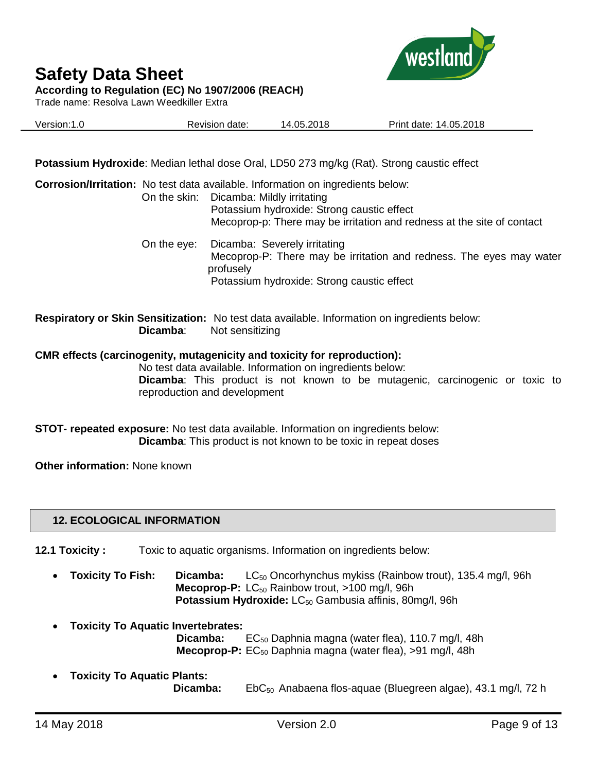

Trade name: Resolva Lawn Weedkiller Extra



| Version:1.0 | Revision date: | 14.05.2018 | Print date: 14.05.2018 |
|-------------|----------------|------------|------------------------|
|             |                |            |                        |

**Potassium Hydroxide**: Median lethal dose Oral, LD50 273 mg/kg (Rat). Strong caustic effect

|             | <b>Corrosion/Irritation:</b> No test data available. Information on ingredients below:<br>On the skin: Dicamba: Mildly irritating<br>Potassium hydroxide: Strong caustic effect<br>Mecoprop-p: There may be irritation and redness at the site of contact |
|-------------|-----------------------------------------------------------------------------------------------------------------------------------------------------------------------------------------------------------------------------------------------------------|
| On the eye: | Dicamba: Severely irritating<br>Mecoprop-P: There may be irritation and redness. The eyes may water<br>profusely<br>Potassium hydroxide: Strong caustic effect                                                                                            |
| Dicamba:    | <b>Respiratory or Skin Sensitization:</b> No test data available. Information on ingredients below:<br>Not sensitizing                                                                                                                                    |
|             | <b>CMR</b> effects (carcinogenity, mutagenicity and toxicity for reproduction):                                                                                                                                                                           |

No test data available. Information on ingredients below: **Dicamba**: This product is not known to be mutagenic, carcinogenic or toxic to reproduction and development

**STOT- repeated exposure:** No test data available. Information on ingredients below: **Dicamba**: This product is not known to be toxic in repeat doses

**Other information:** None known

# **12. ECOLOGICAL INFORMATION**

**12.1 Toxicity :** Toxic to aquatic organisms. Information on ingredients below:

- **Toxicity To Fish: Dicamba:** LC<sub>50</sub> Oncorhynchus mykiss (Rainbow trout), 135.4 mg/l, 96h **Mecoprop-P:** LC<sub>50</sub> Rainbow trout, >100 mg/l, 96h Potassium Hydroxide: LC<sub>50</sub> Gambusia affinis, 80mg/l, 96h
- **Toxicity To Aquatic Invertebrates: Dicamba:** EC<sub>50</sub> Daphnia magna (water flea), 110.7 mg/l, 48h **Mecoprop-P:** EC<sub>50</sub> Daphnia magna (water flea), >91 mg/l, 48h
- **Toxicity To Aquatic Plants: Dicamba:** EbC<sub>50</sub> Anabaena flos-aquae (Bluegreen algae), 43.1 mg/l, 72 h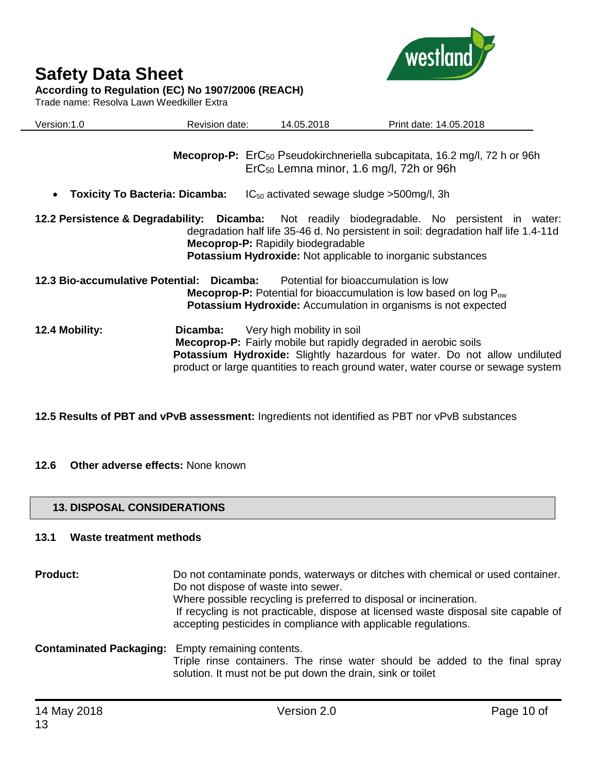

Trade name: Resolva Lawn Weedkiller Extra



| Version:1.0                                        | Revision date: | 14.05.2018                                | Print date: 14.05.2018                                                                                                                                                                                                                              |
|----------------------------------------------------|----------------|-------------------------------------------|-----------------------------------------------------------------------------------------------------------------------------------------------------------------------------------------------------------------------------------------------------|
|                                                    |                |                                           | <b>Mecoprop-P:</b> $E\Gamma C_{50}$ Pseudokirchneriella subcapitata, 16.2 mg/l, 72 h or 96h<br>ErC <sub>50</sub> Lemna minor, 1.6 mg/l, 72h or 96h                                                                                                  |
| <b>Toxicity To Bacteria: Dicamba:</b><br>$\bullet$ |                |                                           | $IC_{50}$ activated sewage sludge >500mg/l, 3h                                                                                                                                                                                                      |
|                                                    |                | <b>Mecoprop-P:</b> Rapidily biodegradable | 12.2 Persistence & Degradability: Dicamba: Not readily biodegradable. No persistent in water:<br>degradation half life 35-46 d. No persistent in soil: degradation half life 1.4-11d<br>Potassium Hydroxide: Not applicable to inorganic substances |
| 12.3 Bio-accumulative Potential: Dicamba:          |                |                                           | Potential for bioaccumulation is low<br><b>Mecoprop-P:</b> Potential for bioaccumulation is low based on $log P_{ow}$<br><b>Potassium Hydroxide:</b> Accumulation in organisms is not expected                                                      |
| 12.4 Mobility:                                     | Dicamba:       | Very high mobility in soil                | <b>Mecoprop-P:</b> Fairly mobile but rapidly degraded in aerobic soils<br><b>Potassium Hydroxide:</b> Slightly hazardous for water. Do not allow undiluted<br>product or large quantities to reach ground water, water course or sewage system      |

**12.5 Results of PBT and vPvB assessment:** Ingredients not identified as PBT nor vPvB substances

# **12.6 Other adverse effects:** None known

# **13. DISPOSAL CONSIDERATIONS**

# **13.1 Waste treatment methods**

| <b>Product:</b>                                          | Do not contaminate ponds, waterways or ditches with chemical or used container.<br>Do not dispose of waste into sewer.<br>Where possible recycling is preferred to disposal or incineration.<br>If recycling is not practicable, dispose at licensed waste disposal site capable of<br>accepting pesticides in compliance with applicable regulations. |
|----------------------------------------------------------|--------------------------------------------------------------------------------------------------------------------------------------------------------------------------------------------------------------------------------------------------------------------------------------------------------------------------------------------------------|
| <b>Contaminated Packaging:</b> Empty remaining contents. | Triple rinse containers. The rinse water should be added to the final spray<br>solution. It must not be put down the drain, sink or toilet                                                                                                                                                                                                             |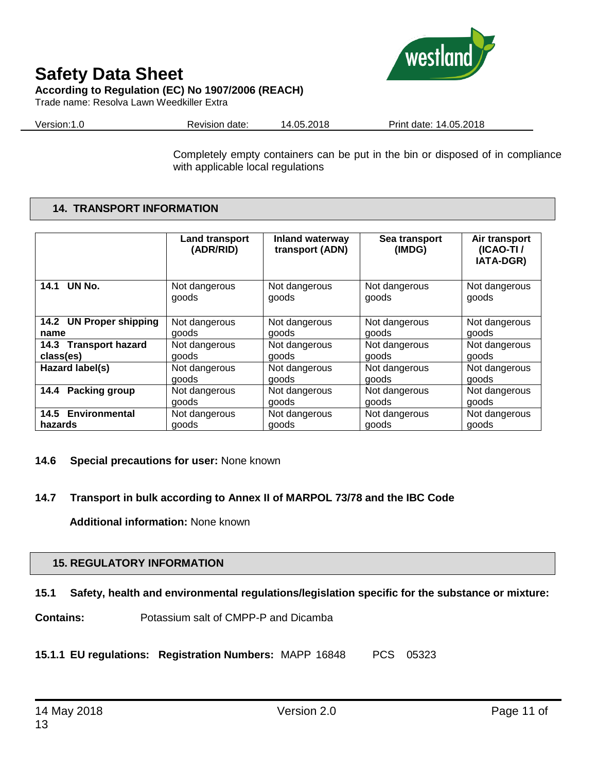# **Safety Data Sheet According to Regulation (EC) No 1907/2006 (REACH)**

Trade name: Resolva Lawn Weedkiller Extra



Version:1.0 Revision date: 14.05.2018 Print date: 14.05.2018

Completely empty containers can be put in the bin or disposed of in compliance with applicable local regulations

# **14. TRANSPORT INFORMATION**

|                         | Land transport<br>(ADR/RID) | <b>Inland waterway</b><br>transport (ADN) | Sea transport<br>(IMDG) | Air transport<br>(ICAO-TI/<br>IATA-DGR) |
|-------------------------|-----------------------------|-------------------------------------------|-------------------------|-----------------------------------------|
| UN No.                  | Not dangerous               | Not dangerous                             | Not dangerous           | Not dangerous                           |
| 14.1                    | goods                       | goods                                     | goods                   | goods                                   |
| 14.2 UN Proper shipping | Not dangerous               | Not dangerous                             | Not dangerous           | Not dangerous                           |
| name                    | goods                       | goods                                     | goods                   | goods                                   |
| 14.3 Transport hazard   | Not dangerous               | Not dangerous                             | Not dangerous           | Not dangerous                           |
| class(es)               | goods                       | goods                                     | goods                   | goods                                   |
| Hazard label(s)         | Not dangerous               | Not dangerous                             | Not dangerous           | Not dangerous                           |
|                         | goods                       | goods                                     | goods                   | goods                                   |
| <b>Packing group</b>    | Not dangerous               | Not dangerous                             | Not dangerous           | Not dangerous                           |
| 14.4                    | goods                       | goods                                     | goods                   | goods                                   |
| 14.5 Environmental      | Not dangerous               | Not dangerous                             | Not dangerous           | Not dangerous                           |
| hazards                 | goods                       | goods                                     | goods                   | goods                                   |

# **14.6 Special precautions for user:** None known

# **14.7 Transport in bulk according to Annex II of MARPOL 73/78 and the IBC Code**

**Additional information:** None known

# **15. REGULATORY INFORMATION**

# **15.1 Safety, health and environmental regulations/legislation specific for the substance or mixture:**

**Contains:** Potassium salt of CMPP-P and Dicamba

**15.1.1 EU regulations: Registration Numbers:** MAPP 16848 PCS 05323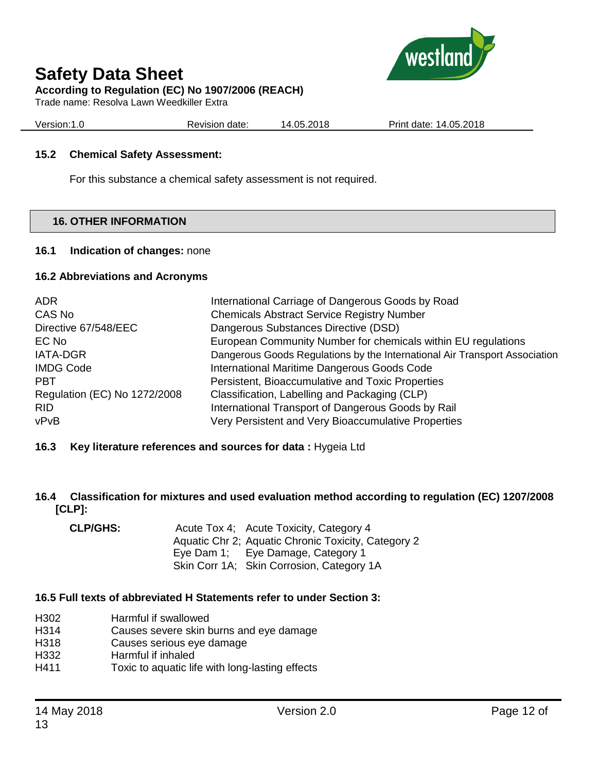

# **According to Regulation (EC) No 1907/2006 (REACH)**

Trade name: Resolva Lawn Weedkiller Extra

Version:1.0 Revision date: 14.05.2018 Print date: 14.05.2018

# **15.2 Chemical Safety Assessment:**

For this substance a chemical safety assessment is not required.

# **16. OTHER INFORMATION**

# **16.1 Indication of changes:** none

# **16.2 Abbreviations and Acronyms**

| ADR.<br>CAS No               | International Carriage of Dangerous Goods by Road<br><b>Chemicals Abstract Service Registry Number</b> |  |
|------------------------------|--------------------------------------------------------------------------------------------------------|--|
| Directive 67/548/EEC         | Dangerous Substances Directive (DSD)                                                                   |  |
| EC No                        | European Community Number for chemicals within EU regulations                                          |  |
| <b>IATA-DGR</b>              | Dangerous Goods Regulations by the International Air Transport Association                             |  |
| <b>IMDG Code</b>             | International Maritime Dangerous Goods Code                                                            |  |
| <b>PBT</b>                   | Persistent, Bioaccumulative and Toxic Properties                                                       |  |
| Regulation (EC) No 1272/2008 | Classification, Labelling and Packaging (CLP)                                                          |  |
| <b>RID</b>                   | International Transport of Dangerous Goods by Rail                                                     |  |
| vPvB                         | Very Persistent and Very Bioaccumulative Properties                                                    |  |

# **16.3 Key literature references and sources for data :** Hygeia Ltd

**16.4 Classification for mixtures and used evaluation method according to regulation (EC) 1207/2008 [CLP]:**

| <b>CLP/GHS:</b> | Acute Tox 4; Acute Toxicity, Category 4             |
|-----------------|-----------------------------------------------------|
|                 | Aquatic Chr 2; Aquatic Chronic Toxicity, Category 2 |
|                 | Eye Dam 1; Eye Damage, Category 1                   |
|                 | Skin Corr 1A; Skin Corrosion, Category 1A           |

# **16.5 Full texts of abbreviated H Statements refer to under Section 3:**

- H302 Harmful if swallowed
- H314 Causes severe skin burns and eye damage
- H318 Causes serious eye damage
- H332 Harmful if inhaled
- H411 Toxic to aquatic life with long-lasting effects